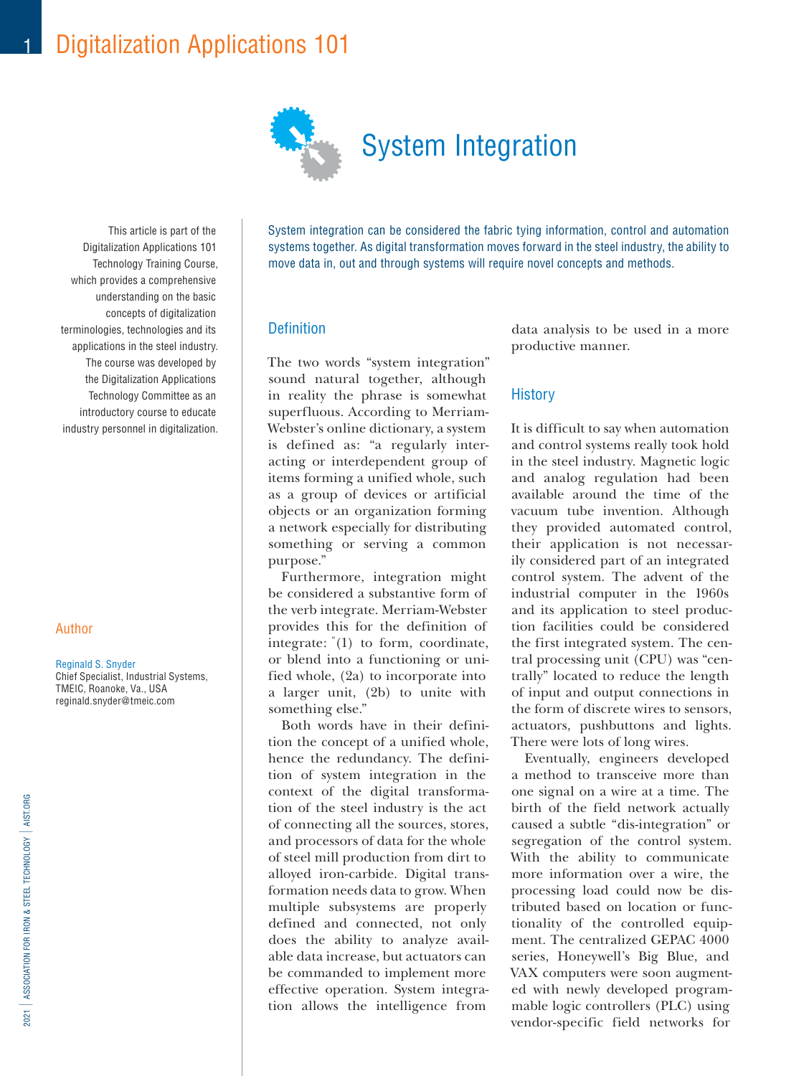# Digitalization Applications 101



This article is part of the Digitalization Applications 101 Technology Training Course, which provides a comprehensive understanding on the basic concepts of digitalization terminologies, technologies and its applications in the steel industry. The course was developed by the Digitalization Applications Technology Committee as an introductory course to educate industry personnel in digitalization.

#### Author

1

#### Reginald S. Snyder

Chief Specialist, Industrial Systems, TMEIC, Roanoke, Va., USA reginald.snyder@tmeic.com

System integration can be considered the fabric tying information, control and automation systems together. As digital transformation moves forward in the steel industry, the ability to move data in, out and through systems will require novel concepts and methods.

#### Definition

The two words "system integration" sound natural together, although in reality the phrase is somewhat superfluous. According to Merriam-Webster's online dictionary, a system is defined as: "a regularly interacting or interdependent group of items forming a unified whole, such as a group of devices or artificial objects or an organization forming a network especially for distributing something or serving a common purpose."

Furthermore, integration might be considered a substantive form of the verb integrate. Merriam-Webster provides this for the definition of integrate: "(1) to form, coordinate, or blend into a functioning or unified whole, (2a) to incorporate into a larger unit, (2b) to unite with something else."

Both words have in their definition the concept of a unified whole, hence the redundancy. The definition of system integration in the context of the digital transformation of the steel industry is the act of connecting all the sources, stores, and processors of data for the whole of steel mill production from dirt to alloyed iron-carbide. Digital transformation needs data to grow. When multiple subsystems are properly defined and connected, not only does the ability to analyze available data increase, but actuators can be commanded to implement more effective operation. System integration allows the intelligence from

data analysis to be used in a more productive manner.

#### **History**

It is difficult to say when automation and control systems really took hold in the steel industry. Magnetic logic and analog regulation had been available around the time of the vacuum tube invention. Although they provided automated control, their application is not necessarily considered part of an integrated control system. The advent of the industrial computer in the 1960s and its application to steel production facilities could be considered the first integrated system. The central processing unit (CPU) was "centrally" located to reduce the length of input and output connections in the form of discrete wires to sensors, actuators, pushbuttons and lights. There were lots of long wires.

Eventually, engineers developed a method to transceive more than one signal on a wire at a time. The birth of the field network actually caused a subtle "dis-integration" or segregation of the control system. With the ability to communicate more information over a wire, the processing load could now be distributed based on location or functionality of the controlled equipment. The centralized GEPAC 4000 series, Honeywell's Big Blue, and VAX computers were soon augmented with newly developed programmable logic controllers (PLC) using vendor-specific field networks for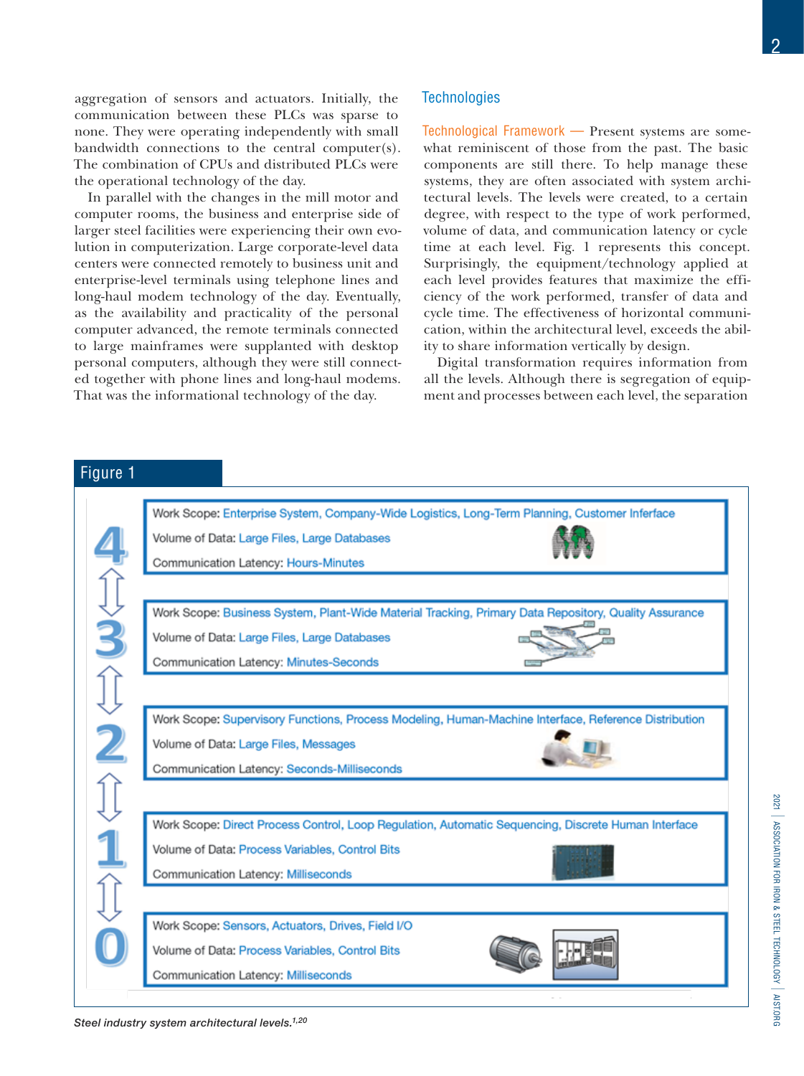aggregation of sensors and actuators. Initially, the communication between these PLCs was sparse to none. They were operating independently with small bandwidth connections to the central computer(s). The combination of CPUs and distributed PLCs were the operational technology of the day.

In parallel with the changes in the mill motor and computer rooms, the business and enterprise side of larger steel facilities were experiencing their own evolution in computerization. Large corporate-level data centers were connected remotely to business unit and enterprise-level terminals using telephone lines and long-haul modem technology of the day. Eventually, as the availability and practicality of the personal computer advanced, the remote terminals connected to large mainframes were supplanted with desktop personal computers, although they were still connected together with phone lines and long-haul modems. That was the informational technology of the day.

*Steel industry system architectural levels.1,20*

#### **Technologies**

Technological Framework — Present systems are somewhat reminiscent of those from the past. The basic components are still there. To help manage these systems, they are often associated with system architectural levels. The levels were created, to a certain degree, with respect to the type of work performed, volume of data, and communication latency or cycle time at each level. Fig. 1 represents this concept. Surprisingly, the equipment/technology applied at each level provides features that maximize the efficiency of the work performed, transfer of data and cycle time. The effectiveness of horizontal communication, within the architectural level, exceeds the ability to share information vertically by design.

Digital transformation requires information from all the levels. Although there is segregation of equipment and processes between each level, the separation

Figure 1Work Scope: Enterprise System, Company-Wide Logistics, Long-Term Planning, Customer Inferface Volume of Data: Large Files, Large Databases 4个文3个文之介,1 Communication Latency: Hours-Minutes Work Scope: Business System, Plant-Wide Material Tracking, Primary Data Repository, Quality Assurance Volume of Data: Large Files, Large Databases Communication Latency: Minutes-Seconds Work Scope: Supervisory Functions, Process Modeling, Human-Machine Interface, Reference Distribution Volume of Data: Large Files, Messages Communication Latency: Seconds-Milliseconds Work Scope: Direct Process Control, Loop Regulation, Automatic Sequencing, Discrete Human Interface Volume of Data: Process Variables, Control Bits Communication Latency: Milliseconds Work Scope: Sensors, Actuators, Drives, Field I/O Volume of Data: Process Variables, Control Bits Communication Latency: Milliseconds

ASSOCIATION FOR IRON & STEEL TECHNOLOGY AIST.ORG

2021 I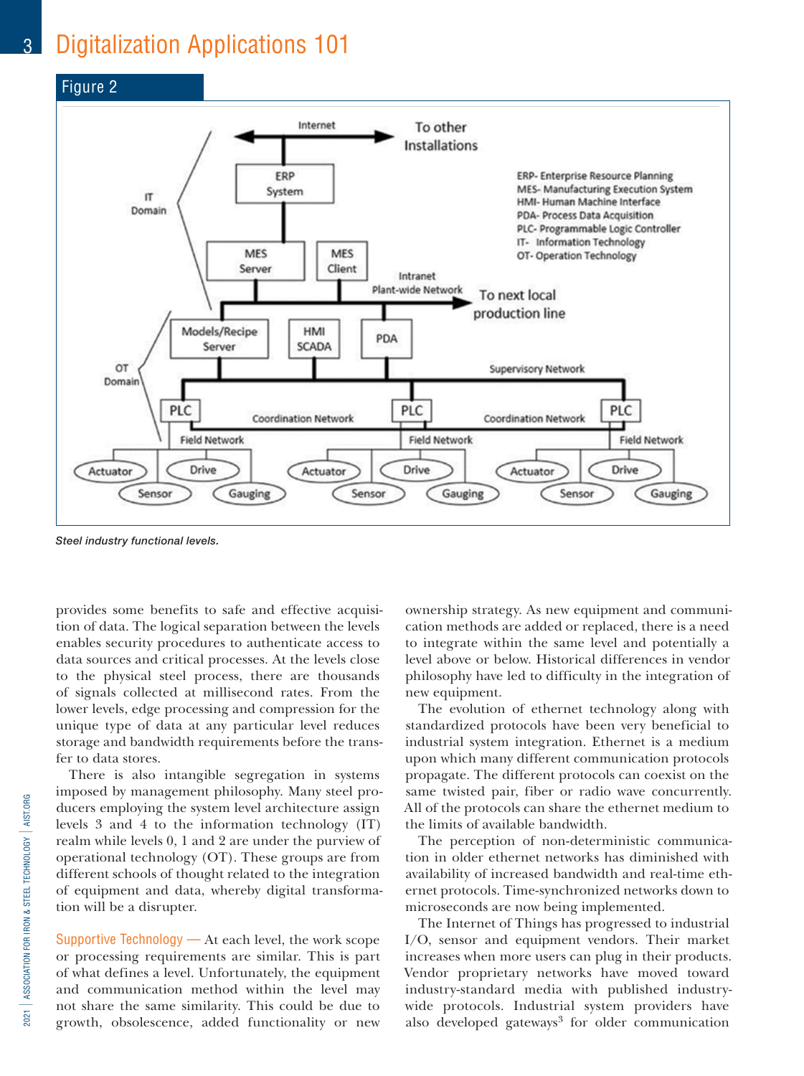## 3 Digitalization Applications 101



*Steel industry functional levels.*

provides some benefits to safe and effective acquisition of data. The logical separation between the levels enables security procedures to authenticate access to data sources and critical processes. At the levels close to the physical steel process, there are thousands of signals collected at millisecond rates. From the lower levels, edge processing and compression for the unique type of data at any particular level reduces storage and bandwidth requirements before the transfer to data stores.

There is also intangible segregation in systems imposed by management philosophy. Many steel producers employing the system level architecture assign levels 3 and 4 to the information technology (IT) realm while levels 0, 1 and 2 are under the purview of operational technology (OT). These groups are from different schools of thought related to the integration of equipment and data, whereby digital transformation will be a disrupter.

Supportive Technology  $-$  At each level, the work scope or processing requirements are similar. This is part of what defines a level. Unfortunately, the equipment and communication method within the level may not share the same similarity. This could be due to growth, obsolescence, added functionality or new

ownership strategy. As new equipment and communication methods are added or replaced, there is a need to integrate within the same level and potentially a level above or below. Historical differences in vendor philosophy have led to difficulty in the integration of new equipment.

The evolution of ethernet technology along with standardized protocols have been very beneficial to industrial system integration. Ethernet is a medium upon which many different communication protocols propagate. The different protocols can coexist on the same twisted pair, fiber or radio wave concurrently. All of the protocols can share the ethernet medium to the limits of available bandwidth.

The perception of non-deterministic communication in older ethernet networks has diminished with availability of increased bandwidth and real-time ethernet protocols. Time-synchronized networks down to microseconds are now being implemented.

The Internet of Things has progressed to industrial I/O, sensor and equipment vendors. Their market increases when more users can plug in their products. Vendor proprietary networks have moved toward industry-standard media with published industrywide protocols. Industrial system providers have also developed gateways<sup>3</sup> for older communication